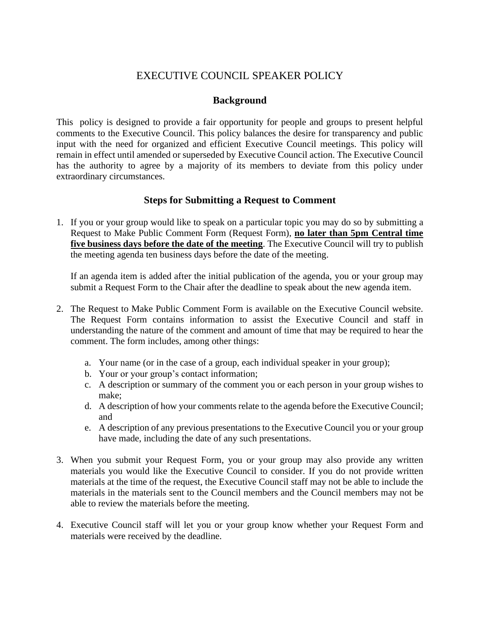## EXECUTIVE COUNCIL SPEAKER POLICY

## **Background**

This policy is designed to provide a fair opportunity for people and groups to present helpful comments to the Executive Council. This policy balances the desire for transparency and public input with the need for organized and efficient Executive Council meetings. This policy will remain in effect until amended or superseded by Executive Council action. The Executive Council has the authority to agree by a majority of its members to deviate from this policy under extraordinary circumstances.

## **Steps for Submitting a Request to Comment**

1. If you or your group would like to speak on a particular topic you may do so by submitting a Request to Make Public Comment Form (Request Form), **no later than 5pm Central time five business days before the date of the meeting**. The Executive Council will try to publish the meeting agenda ten business days before the date of the meeting.

If an agenda item is added after the initial publication of the agenda, you or your group may submit a Request Form to the Chair after the deadline to speak about the new agenda item.

- 2. The Request to Make Public Comment Form is available on the Executive Council website. The Request Form contains information to assist the Executive Council and staff in understanding the nature of the comment and amount of time that may be required to hear the comment. The form includes, among other things:
	- a. Your name (or in the case of a group, each individual speaker in your group);
	- b. Your or your group's contact information;
	- c. A description or summary of the comment you or each person in your group wishes to make;
	- d. A description of how your comments relate to the agenda before the Executive Council; and
	- e. A description of any previous presentations to the Executive Council you or your group have made, including the date of any such presentations.
- 3. When you submit your Request Form, you or your group may also provide any written materials you would like the Executive Council to consider. If you do not provide written materials at the time of the request, the Executive Council staff may not be able to include the materials in the materials sent to the Council members and the Council members may not be able to review the materials before the meeting.
- 4. Executive Council staff will let you or your group know whether your Request Form and materials were received by the deadline.